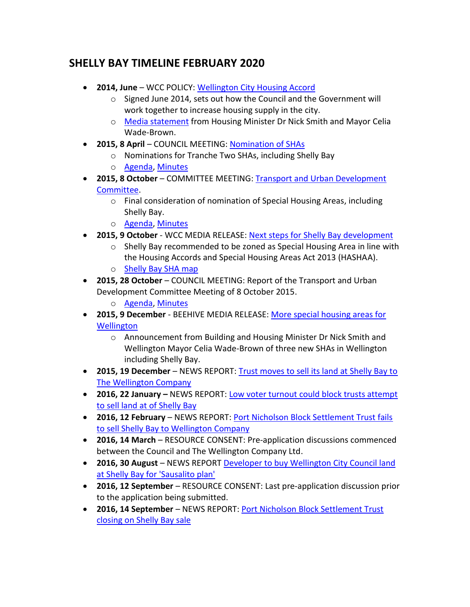## **SHELLY BAY TIMELINE FEBRUARY 2020**

- **2014, June** WCC POLICY: [Wellington City Housing Accord](https://wellington.govt.nz/your-council/plans-policies-and-bylaws/policies/housing-accord)
	- o Signed June 2014, sets out how the Council and the Government will work together to increase housing supply in the city.
	- o [Media statement](https://wellington.govt.nz/~/media/your-council/plans-policies-and-bylaws/plans-and-policies/a-to-z/housingaccord/files/housing-minister-media-statement.pdf) from Housing Minister Dr Nick Smith and Mayor Celia Wade-Brown.
- **2015, 8 April** COUNCIL MEETING: [Nomination of SHAs](https://wellington.govt.nz/your-council/meetings/committees/council/2015/04/08)
	- o Nominations for Tranche Two SHAs, including Shelly Bay
	- o [Agenda,](https://wellington.govt.nz/~/media/your-council/meetings/council/2015/04/public-agenda---08-april-2015-council-agenda.pdf) [Minutes](https://wellington.govt.nz/~/media/your-council/meetings/council/2015/04/20150408-confirmed-council-minutes.pdf)
- **2015, 8 October** COMMITTEE MEETING: [Transport and Urban Development](https://wellington.govt.nz/your-council/meetings/committees/disestablished-committees/transport-and-urban-development/2015/10/08)  [Committee.](https://wellington.govt.nz/your-council/meetings/committees/disestablished-committees/transport-and-urban-development/2015/10/08)
	- o Final consideration of nomination of Special Housing Areas, including Shelly Bay.
	- o [Agenda,](https://wellington.govt.nz/~/media/your-council/meetings/committees/transport-and-urban-development-committee/2015/10/public-agenda-tud-8-october-2015.pdf) [Minutes](https://wellington.govt.nz/~/media/your-council/meetings/committees/transport-and-urban-development-committee/2015/10/tud_20151008_min_2799.pdf)
- **2015, 9 October** WCC MEDIA RELEASE: [Next steps for Shelly Bay development](https://wellington.govt.nz/your-council/news/2015/10/next-steps-for-shelly-bay-development)
	- $\circ$  Shelly Bay recommended to be zoned as Special Housing Area in line with the Housing Accords and Special Housing Areas Act 2013 (HASHAA).
	- o [Shelly Bay SHA map](https://wellington.govt.nz/~/media/services/environment-and-waste/urban-development/files/special-housing-areas/shelly-bay-road-update.pdf?la=en)
- **2015, 28 October** COUNCIL MEETING: Report of the Transport and Urban Development Committee Meeting of 8 October 2015.
	- o [Agenda,](https://wellington.govt.nz/~/media/your-council/meetings/council/2015/10/open-cou_20151028_agn_2863_at.pdf) [Minutes](https://wellington.govt.nz/~/media/your-council/meetings/council/2015/10/cou_20151028_min_2863.pdf)
- **2015, 9 December** BEEHIVE MEDIA RELEASE: [More special housing areas for](https://www.beehive.govt.nz/release/more-special-housing-areas-wellington)  **[Wellington](https://www.beehive.govt.nz/release/more-special-housing-areas-wellington)** 
	- o Announcement from Building and Housing Minister Dr Nick Smith and Wellington Mayor Celia Wade-Brown of three new SHAs in Wellington including Shelly Bay.
- **2015, 19 December** NEWS REPORT: [Trust moves to sell its land at Shelly Bay to](https://www.stuff.co.nz/dominion-post/business/75284980/null)  [The Wellington Company](https://www.stuff.co.nz/dominion-post/business/75284980/null)
- **2016, 22 January –** NEWS REPORT: [Low voter turnout could block trusts attempt](https://www.stuff.co.nz/business/76169323/null)  [to sell land at of Shelly Bay](https://www.stuff.co.nz/business/76169323/null)
- **2016, 12 February** NEWS REPORT: [Port Nicholson Block Settlement Trust fails](https://www.stuff.co.nz/business/76849512/null)  [to sell Shelly Bay to Wellington Company](https://www.stuff.co.nz/business/76849512/null)
- **2016, 14 March** RESOURCE CONSENT: Pre-application discussions commenced between the Council and The Wellington Company Ltd.
- **2016, 30 August** NEWS REPORT [Developer to buy Wellington City Council land](https://www.stuff.co.nz/business/82787405/developer-set-to-buy-council-land-at-shelly-bay-for-sausalito-plan)  [at Shelly Bay for 'Sausalito plan'](https://www.stuff.co.nz/business/82787405/developer-set-to-buy-council-land-at-shelly-bay-for-sausalito-plan)
- **2016, 12 September** RESOURCE CONSENT: Last pre-application discussion prior to the application being submitted.
- **2016, 14 September** NEWS REPORT: [Port Nicholson Block Settlement Trust](https://www.stuff.co.nz/business/84238961/port-nicholson-block-settlement-trust-closing-on-shelly-bay-sale)  [closing on Shelly Bay sale](https://www.stuff.co.nz/business/84238961/port-nicholson-block-settlement-trust-closing-on-shelly-bay-sale)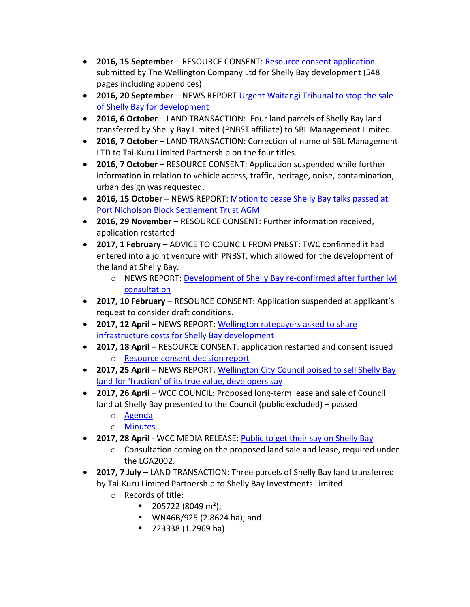- **2016, 15 September** RESOURCE CONSENT: [Resource consent application](https://wellington.govt.nz/~/media/have-your-say/public-input/files/consultations/2017/07/shelly-bay/shelly-bay-resource-consent-application.pdf?la=en) submitted by The Wellington Company Ltd for Shelly Bay development (548 pages including appendices).
- **2016, 20 September** NEWS REPORT [Urgent Waitangi Tribunal to stop the sale](https://www.stuff.co.nz/business/84442901/urgent-waitangi-tribunal-to-stop-the-sale-of-shelly-bay-for-development)  [of Shelly Bay for development](https://www.stuff.co.nz/business/84442901/urgent-waitangi-tribunal-to-stop-the-sale-of-shelly-bay-for-development)
- **2016, 6 October** LAND TRANSACTION: Four land parcels of Shelly Bay land transferred by Shelly Bay Limited (PNBST affiliate) to SBL Management Limited.
- **2016, 7 October** LAND TRANSACTION: Correction of name of SBL Management LTD to Tai-Kuru Limited Partnership on the four titles.
- **2016, 7 October** RESOURCE CONSENT: Application suspended while further information in relation to vehicle access, traffic, heritage, noise, contamination, urban design was requested.
- **2016, 15 October** NEWS REPORT: [Motion to cease Shelly Bay talks passed at](https://www.stuff.co.nz/business/85508551/motion-to-cease-shelly-bay-talks-passed-at-port-nicholson-block-settlement-trust--agm)  [Port Nicholson Block Settlement Trust AGM](https://www.stuff.co.nz/business/85508551/motion-to-cease-shelly-bay-talks-passed-at-port-nicholson-block-settlement-trust--agm)
- **2016, 29 November** RESOURCE CONSENT: Further information received, application restarted
- **2017, 1 February** ADVICE TO COUNCIL FROM PNBST: TWC confirmed it had entered into a joint venture with PNBST, which allowed for the development of the land at Shelly Bay.
	- o NEWS REPORT: [Development of Shelly Bay re-confirmed after further](https://www.stuff.co.nz/business/88990530/development-of-shelly-bay-reconfirmed-after-further-iwi-consultation) iwi [consultation](https://www.stuff.co.nz/business/88990530/development-of-shelly-bay-reconfirmed-after-further-iwi-consultation)
- **2017, 10 February** RESOURCE CONSENT: Application suspended at applicant's request to consider draft conditions.
- **2017, 12 April** NEWS REPORT: [Wellington ratepayers asked to share](https://www.stuff.co.nz/dominion-post/news/91504379/wellington-ratepayers-asked-to-share-infrastructure-costs-for-shelly-bay-development?rm=m)  [infrastructure costs for Shelly Bay development](https://www.stuff.co.nz/dominion-post/news/91504379/wellington-ratepayers-asked-to-share-infrastructure-costs-for-shelly-bay-development?rm=m)
- **2017, 18 April**  RESOURCE CONSENT: application restarted and consent issued o [Resource consent decision report](https://wellington.govt.nz/~/media/have-your-say/public-input/files/consultations/2017/07/shelly-bay/shelly-bay-resource-consent-report.pdf?la=en)
- **2017, 25 April** NEWS REPORT: [Wellington City Council poised to sell Shelly Bay](https://www.stuff.co.nz/business/property/91872145/wellington-city-council-poised-to-shelly-bay-land-for-fraction-of-its-true-value-developers-say)  [land for 'fraction' of its true value, developers say](https://www.stuff.co.nz/business/property/91872145/wellington-city-council-poised-to-shelly-bay-land-for-fraction-of-its-true-value-developers-say)
- **2017, 26 April WCC COUNCIL: Proposed long-term lease and sale of Council** land at Shelly Bay presented to the Council (public excluded) – passed
	- o [Agenda](https://wellington.govt.nz/~/media/your-council/meetings/council/2017/04/2017-april---council-agenda.pdf)
	- o [Minutes](https://wellington.govt.nz/~/media/your-council/meetings/council/2017/04/2017-april-26---open-minutes.pdf)
- **2017, 28 April** WCC MEDIA RELEASE: [Public to get their say on Shelly Bay](https://wellington.govt.nz/your-council/news/2017/04/public-to-get-their-say-on-shelly-bay)
	- $\circ$  Consultation coming on the proposed land sale and lease, required under the LGA2002.
- **2017, 7 July** LAND TRANSACTION: Three parcels of Shelly Bay land transferred by Tai-Kuru Limited Partnership to Shelly Bay Investments Limited
	- o Records of title:
		- $\blacksquare$  205722 (8049 m<sup>2</sup>);
		- WN46B/925 (2.8624 ha); and
		- 223338 (1.2969 ha)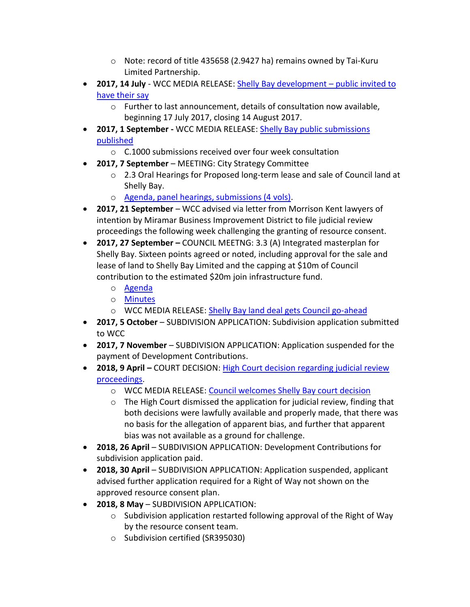- o Note: record of title 435658 (2.9427 ha) remains owned by Tai-Kuru Limited Partnership.
- **2017, 14 July** WCC MEDIA RELEASE: [Shelly Bay development](https://wellington.govt.nz/your-council/news/2017/07/shelly-bay-have-your-say)  public invited to [have their say](https://wellington.govt.nz/your-council/news/2017/07/shelly-bay-have-your-say)
	- o Further to last announcement, details of consultation now available, beginning 17 July 2017, closing 14 August 2017.
- **2017, 1 September -** WCC MEDIA RELEASE: [Shelly Bay public submissions](https://wellington.govt.nz/your-council/news/2017/09/shelly-bay-public-submissions)  [published](https://wellington.govt.nz/your-council/news/2017/09/shelly-bay-public-submissions)
	- o C.1000 submissions received over four week consultation
- **2017, 7 September** MEETING: City Strategy Committee
	- o 2.3 Oral Hearings for Proposed long-term lease and sale of Council land at Shelly Bay.
	- o [Agenda, panel hearings, submissions \(4 vols\).](https://wellington.govt.nz/your-council/meetings/committees/city-strategy-committee/2017/09/07)
- **2017, 21 September** WCC advised via letter from Morrison Kent lawyers of intention by Miramar Business Improvement District to file judicial review proceedings the following week challenging the granting of resource consent.
- **2017, 27 September –** COUNCIL MEETNG: 3.3 (A) Integrated masterplan for Shelly Bay. Sixteen points agreed or noted, including approval for the sale and lease of land to Shelly Bay Limited and the capping at \$10m of Council contribution to the estimated \$20m join infrastructure fund.
	- o [Agenda](https://wellington.govt.nz/~/media/your-council/meetings/council/2017/09/cou_20170927_agn_3044_at.pdf)
	- o [Minutes](https://wellington.govt.nz/~/media/your-council/meetings/council/2017/09/cou_20170927_min_3044.pdf)
	- o WCC MEDIA RELEASE: [Shelly Bay land deal gets Council go-ahead](https://wellington.govt.nz/your-council/news/2017/09/shelly-bay-land-deal-goes-ahead)
- **2017, 5 October** SUBDIVISION APPLICATION: Subdivision application submitted to WCC
- **2017, 7 November** SUBDIVISION APPLICATION: Application suspended for the payment of Development Contributions.
- **2018, 9 April –** COURT DECISION: [High Court decision regarding judicial review](https://forms.justice.govt.nz/search/Documents/pdf/jdo/3b/alfresco/service/api/node/content/workspace/SpacesStore/db1cade5-a727-4285-8c02-5ceb98f4b6f9/db1cade5-a727-4285-8c02-5ceb98f4b6f9.pdf)  [proceedings.](https://forms.justice.govt.nz/search/Documents/pdf/jdo/3b/alfresco/service/api/node/content/workspace/SpacesStore/db1cade5-a727-4285-8c02-5ceb98f4b6f9/db1cade5-a727-4285-8c02-5ceb98f4b6f9.pdf)
	- o WCC MEDIA RELEASE: [Council welcomes Shelly Bay court decision](https://wellington.govt.nz/your-council/news/2018/04/shelly-bay-court-decision)
	- o The High Court dismissed the application for judicial review, finding that both decisions were lawfully available and properly made, that there was no basis for the allegation of apparent bias, and further that apparent bias was not available as a ground for challenge.
- **2018, 26 April** SUBDIVISION APPLICATION: Development Contributions for subdivision application paid.
- **2018, 30 April** SUBDIVISION APPLICATION: Application suspended, applicant advised further application required for a Right of Way not shown on the approved resource consent plan.
- **2018, 8 May** SUBDIVISION APPLICATION:
	- $\circ$  Subdivision application restarted following approval of the Right of Way by the resource consent team.
	- o Subdivision certified (SR395030)